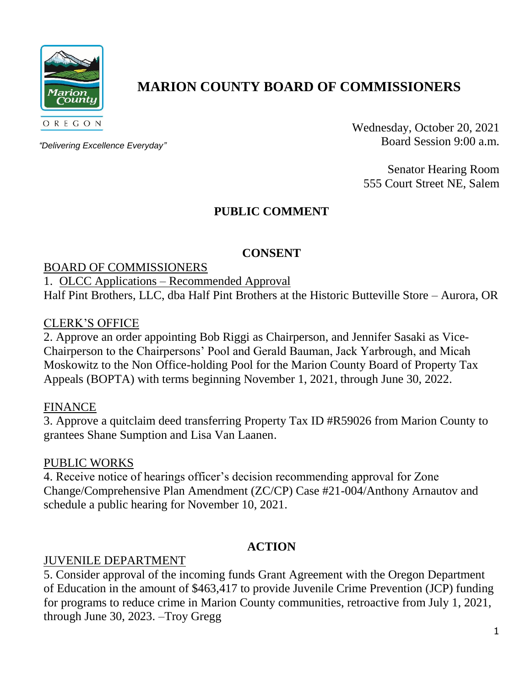

# **MARION COUNTY BOARD OF COMMISSIONERS**

*"Delivering Excellence Everyday"*

Wednesday, October 20, 2021 Board Session 9:00 a.m.

Senator Hearing Room 555 Court Street NE, Salem

# **PUBLIC COMMENT**

# **CONSENT**

#### BOARD OF COMMISSIONERS

1. OLCC Applications – Recommended Approval Half Pint Brothers, LLC, dba Half Pint Brothers at the Historic Butteville Store – Aurora, OR

#### CLERK'S OFFICE

2. Approve an order appointing Bob Riggi as Chairperson, and Jennifer Sasaki as Vice-Chairperson to the Chairpersons' Pool and Gerald Bauman, Jack Yarbrough, and Micah Moskowitz to the Non Office-holding Pool for the Marion County Board of Property Tax Appeals (BOPTA) with terms beginning November 1, 2021, through June 30, 2022.

## FINANCE

3. Approve a quitclaim deed transferring Property Tax ID #R59026 from Marion County to grantees Shane Sumption and Lisa Van Laanen.

#### PUBLIC WORKS

4. Receive notice of hearings officer's decision recommending approval for Zone Change/Comprehensive Plan Amendment (ZC/CP) Case #21-004/Anthony Arnautov and schedule a public hearing for November 10, 2021.

## **ACTION**

#### JUVENILE DEPARTMENT

5. Consider approval of the incoming funds Grant Agreement with the Oregon Department of Education in the amount of \$463,417 to provide Juvenile Crime Prevention (JCP) funding for programs to reduce crime in Marion County communities, retroactive from July 1, 2021, through June 30, 2023. –Troy Gregg